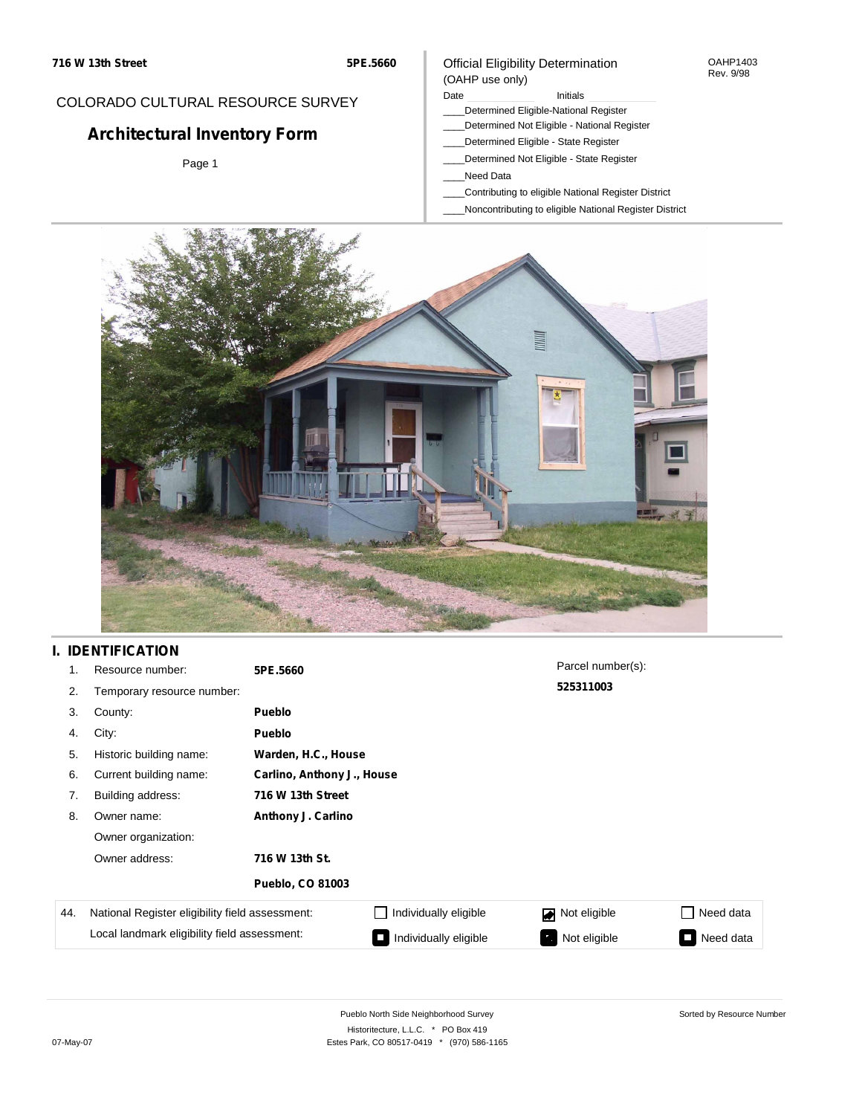#### OAHP1403 Rev. 9/98

### COLORADO CULTURAL RESOURCE SURVEY

# **Architectural Inventory Form**

Page 1

#### Date **Initials** Initials

Official Eligibility Determination

- \_\_\_\_Determined Eligible-National Register
- \_\_\_\_Determined Not Eligible National Register
- \_\_\_\_Determined Eligible State Register
- \_\_\_\_Determined Not Eligible State Register
- \_\_\_\_Need Data

(OAHP use only)

- \_\_\_\_Contributing to eligible National Register District
- \_\_\_\_Noncontributing to eligible National Register District



## **I. IDENTIFICATION**

| 1.  | Resource number:                                | 5PE.5660                |                            | Parcel number(s): |                                       |  |  |  |  |
|-----|-------------------------------------------------|-------------------------|----------------------------|-------------------|---------------------------------------|--|--|--|--|
| 2.  | Temporary resource number:                      |                         |                            | 525311003         |                                       |  |  |  |  |
| 3.  | County:                                         | <b>Pueblo</b>           |                            |                   |                                       |  |  |  |  |
| 4.  | City:                                           | <b>Pueblo</b>           |                            |                   |                                       |  |  |  |  |
| 5.  | Historic building name:                         | Warden, H.C., House     |                            |                   |                                       |  |  |  |  |
| 6.  | Current building name:                          |                         | Carlino, Anthony J., House |                   |                                       |  |  |  |  |
| 7.  | Building address:                               | 716 W 13th Street       |                            |                   |                                       |  |  |  |  |
| 8.  | Owner name:                                     | Anthony J. Carlino      |                            |                   |                                       |  |  |  |  |
|     | Owner organization:                             |                         |                            |                   |                                       |  |  |  |  |
|     | Owner address:                                  | 716 W 13th St.          |                            |                   |                                       |  |  |  |  |
|     |                                                 | <b>Pueblo, CO 81003</b> |                            |                   |                                       |  |  |  |  |
| 44. | National Register eligibility field assessment: |                         | Individually eligible      | Not eligible      | Need data<br>$\overline{\phantom{a}}$ |  |  |  |  |
|     | Local landmark eligibility field assessment:    |                         | Individually eligible      | Not eligible      | Need data<br>Ξ                        |  |  |  |  |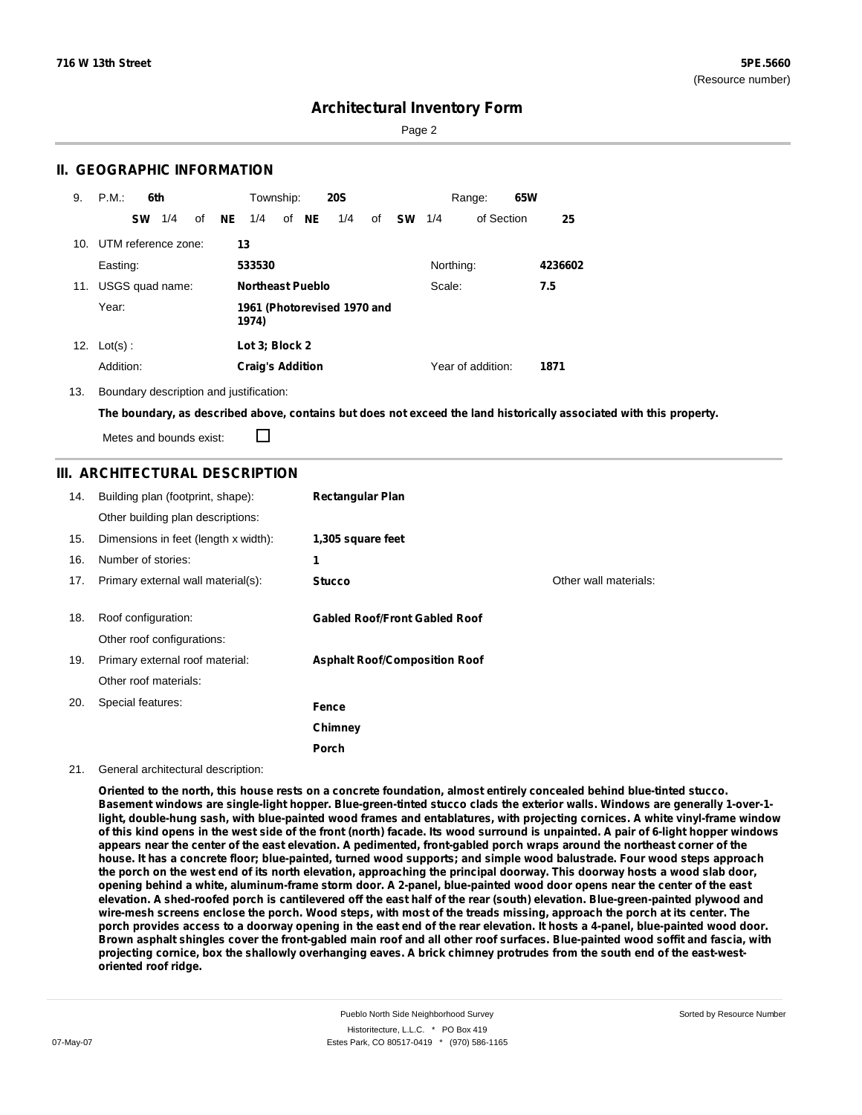Page 2

### **II. GEOGRAPHIC INFORMATION**

| 9.  | P.M.                    | 6th       |                 |    |    | Township:               |       | <b>20S</b>                  |    |           |           | Range:            | 65W |         |
|-----|-------------------------|-----------|-----------------|----|----|-------------------------|-------|-----------------------------|----|-----------|-----------|-------------------|-----|---------|
|     |                         | <b>SW</b> | 1/4             | οf | NE | 1/4                     | of NE | 1/4                         | of | <b>SW</b> | 1/4       | of Section        |     | 25      |
|     | 10. UTM reference zone: |           |                 |    |    | 13                      |       |                             |    |           |           |                   |     |         |
|     | Easting:                |           |                 |    |    | 533530                  |       |                             |    |           | Northing: |                   |     | 4236602 |
| 11. |                         |           | USGS quad name: |    |    | <b>Northeast Pueblo</b> |       |                             |    |           | Scale:    |                   |     | 7.5     |
|     | Year:                   |           |                 |    |    | 1974)                   |       | 1961 (Photorevised 1970 and |    |           |           |                   |     |         |
| 12. | $Lot(s)$ :              |           |                 |    |    | Lot 3: Block 2          |       |                             |    |           |           |                   |     |         |
|     | Addition:               |           |                 |    |    | <b>Craig's Addition</b> |       |                             |    |           |           | Year of addition: |     | 1871    |

13. Boundary description and justification:

The boundary, as described above, contains but does not exceed the land historically associated with this property.

Metes and bounds exist:

П

### **III. ARCHITECTURAL DESCRIPTION**

| 14. | Building plan (footprint, shape):<br>Other building plan descriptions: | <b>Rectangular Plan</b>              |                       |
|-----|------------------------------------------------------------------------|--------------------------------------|-----------------------|
| 15. | Dimensions in feet (length x width):                                   | 1,305 square feet                    |                       |
| 16. | Number of stories:                                                     | 1                                    |                       |
| 17. | Primary external wall material(s):                                     | <b>Stucco</b>                        | Other wall materials: |
|     |                                                                        |                                      |                       |
| 18. | Roof configuration:                                                    | <b>Gabled Roof/Front Gabled Roof</b> |                       |
|     | Other roof configurations:                                             |                                      |                       |
| 19. | Primary external roof material:                                        | <b>Asphalt Roof/Composition Roof</b> |                       |
|     | Other roof materials:                                                  |                                      |                       |
| 20. | Special features:                                                      | Fence                                |                       |
|     |                                                                        | Chimney                              |                       |
|     |                                                                        | Porch                                |                       |

#### 21. General architectural description:

Oriented to the north, this house rests on a concrete foundation, almost entirely concealed behind blue-tinted stucco. Basement windows are single-light hopper. Blue-green-tinted stucco clads the exterior walls. Windows are generally 1-over-1light, double-hung sash, with blue-painted wood frames and entablatures, with projecting cornices. A white vinyl-frame window of this kind opens in the west side of the front (north) facade. Its wood surround is unpainted. A pair of 6-light hopper windows appears near the center of the east elevation. A pedimented, front-gabled porch wraps around the northeast corner of the house. It has a concrete floor; blue-painted, turned wood supports; and simple wood balustrade. Four wood steps approach the porch on the west end of its north elevation, approaching the principal doorway. This doorway hosts a wood slab door, opening behind a white, aluminum-frame storm door. A 2-panel, blue-painted wood door opens near the center of the east elevation. A shed-roofed porch is cantilevered off the east half of the rear (south) elevation. Blue-green-painted plywood and wire-mesh screens enclose the porch. Wood steps, with most of the treads missing, approach the porch at its center. The porch provides access to a doorway opening in the east end of the rear elevation. It hosts a 4-panel, blue-painted wood door. Brown asphalt shingles cover the front-gabled main roof and all other roof surfaces. Blue-painted wood soffit and fascia, with projecting cornice, box the shallowly overhanging eaves. A brick chimney protrudes from the south end of the east-west**oriented roof ridge.**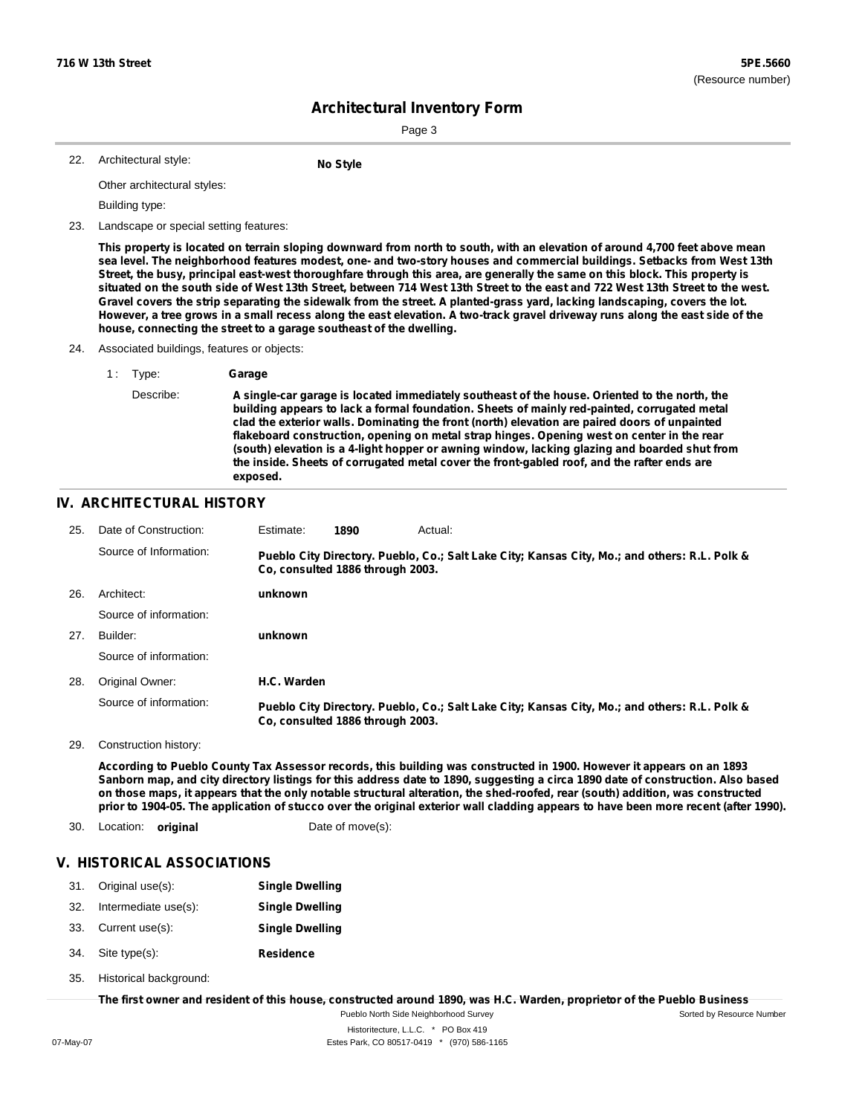Sorted by Resource Number

# **Architectural Inventory Form**

Page 3

| 22. | Architectural style: | <b>No Style</b> |
|-----|----------------------|-----------------|
|     |                      |                 |

Other architectural styles:

Building type:

23. Landscape or special setting features:

This property is located on terrain sloping downward from north to south, with an elevation of around 4,700 feet above mean sea level. The neighborhood features modest, one- and two-story houses and commercial buildings. Setbacks from West 13th Street, the busy, principal east-west thoroughfare through this area, are generally the same on this block. This property is situated on the south side of West 13th Street, between 714 West 13th Street to the east and 722 West 13th Street to the west. Gravel covers the strip separating the sidewalk from the street. A planted-grass yard, lacking landscaping, covers the lot. However, a tree grows in a small recess along the east elevation. A two-track gravel driveway runs along the east side of the **house, connecting the street to a garage southeast of the dwelling.**

- 24. Associated buildings, features or objects:
	- 1 : Type: **Garage**

Describe: **A single-car garage is located immediately southeast of the house. Oriented to the north, the building appears to lack a formal foundation. Sheets of mainly red-painted, corrugated metal clad the exterior walls. Dominating the front (north) elevation are paired doors of unpainted flakeboard construction, opening on metal strap hinges. Opening west on center in the rear (south) elevation is a 4-light hopper or awning window, lacking glazing and boarded shut from the inside. Sheets of corrugated metal cover the front-gabled roof, and the rafter ends are exposed.**

#### **IV. ARCHITECTURAL HISTORY**

| 25. | Date of Construction:  | Estimate:   | 1890                             | Actual:                                                                                       |
|-----|------------------------|-------------|----------------------------------|-----------------------------------------------------------------------------------------------|
|     | Source of Information: |             | Co. consulted 1886 through 2003. | Pueblo City Directory. Pueblo, Co.; Salt Lake City; Kansas City, Mo.; and others: R.L. Polk & |
| 26. | Architect:             | unknown     |                                  |                                                                                               |
|     | Source of information: |             |                                  |                                                                                               |
| 27. | Builder:               | unknown     |                                  |                                                                                               |
|     | Source of information: |             |                                  |                                                                                               |
| 28. | Original Owner:        | H.C. Warden |                                  |                                                                                               |
|     | Source of information: |             | Co. consulted 1886 through 2003. | Pueblo City Directory. Pueblo, Co.; Salt Lake City; Kansas City, Mo.; and others: R.L. Polk & |

29. Construction history:

According to Pueblo County Tax Assessor records, this building was constructed in 1900. However it appears on an 1893 Sanborn map, and city directory listings for this address date to 1890, suggesting a circa 1890 date of construction. Also based on those maps, it appears that the only notable structural alteration, the shed-roofed, rear (south) addition, was constructed prior to 1904-05. The application of stucco over the original exterior wall cladding appears to have been more recent (after 1990).

30. Location: **original** Date of move(s):

### **V. HISTORICAL ASSOCIATIONS**

|     | 31. Original use(s): | <b>Single Dwelling</b> |
|-----|----------------------|------------------------|
| 32. | Intermediate use(s): | <b>Single Dwelling</b> |

- 33. Current use(s): **Single Dwelling**
- **Residence** Site type(s): 34.
- Historical background: 35.

The first owner and resident of this house, constructed around 1890, was H.C. Warden, proprietor of the Pueblo Business

Pueblo North Side Neighborhood Survey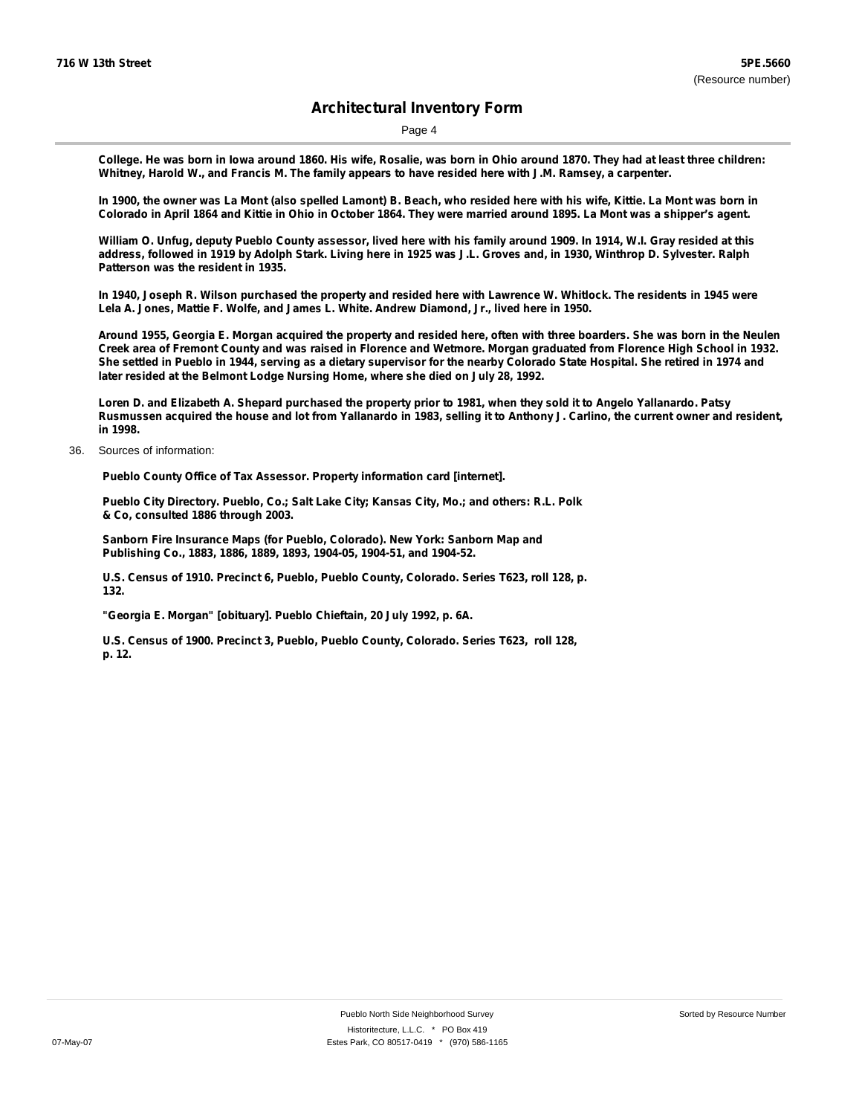Page 4

College. He was born in lowa around 1860. His wife, Rosalie, was born in Ohio around 1870. They had at least three children: Whitney, Harold W., and Francis M. The family appears to have resided here with J.M. Ramsey, a carpenter.

In 1900, the owner was La Mont (also spelled Lamont) B. Beach, who resided here with his wife, Kittie. La Mont was born in Colorado in April 1864 and Kittie in Ohio in October 1864. They were married around 1895. La Mont was a shipper's agent.

William O. Unfug, deputy Pueblo County assessor, lived here with his family around 1909. In 1914, W.I. Gray resided at this address, followed in 1919 by Adolph Stark. Living here in 1925 was J.L. Groves and, in 1930, Winthrop D. Sylvester. Ralph **Patterson was the resident in 1935.**

In 1940, Joseph R. Wilson purchased the property and resided here with Lawrence W. Whitlock. The residents in 1945 were **Lela A. Jones, Mattie F. Wolfe, and James L. White. Andrew Diamond, Jr., lived here in 1950.**

Around 1955, Georgia E. Morgan acquired the property and resided here, often with three boarders. She was born in the Neulen Creek area of Fremont County and was raised in Florence and Wetmore. Morgan graduated from Florence High School in 1932. She settled in Pueblo in 1944, serving as a dietary supervisor for the nearby Colorado State Hospital. She retired in 1974 and **later resided at the Belmont Lodge Nursing Home, where she died on July 28, 1992.**

Loren D. and Elizabeth A. Shepard purchased the property prior to 1981, when they sold it to Angelo Yallanardo. Patsy Rusmussen acquired the house and lot from Yallanardo in 1983, selling it to Anthony J. Carlino, the current owner and resident, **in 1998.**

36. Sources of information:

**Pueblo County Office of Tax Assessor. Property information card [internet].**

**Pueblo City Directory. Pueblo, Co.; Salt Lake City; Kansas City, Mo.; and others: R.L. Polk & Co, consulted 1886 through 2003.**

**Sanborn Fire Insurance Maps (for Pueblo, Colorado). New York: Sanborn Map and Publishing Co., 1883, 1886, 1889, 1893, 1904-05, 1904-51, and 1904-52.**

**U.S. Census of 1910. Precinct 6, Pueblo, Pueblo County, Colorado. Series T623, roll 128, p. 132.**

**"Georgia E. Morgan" [obituary]. Pueblo Chieftain, 20 July 1992, p. 6A.**

**U.S. Census of 1900. Precinct 3, Pueblo, Pueblo County, Colorado. Series T623, roll 128, p. 12.**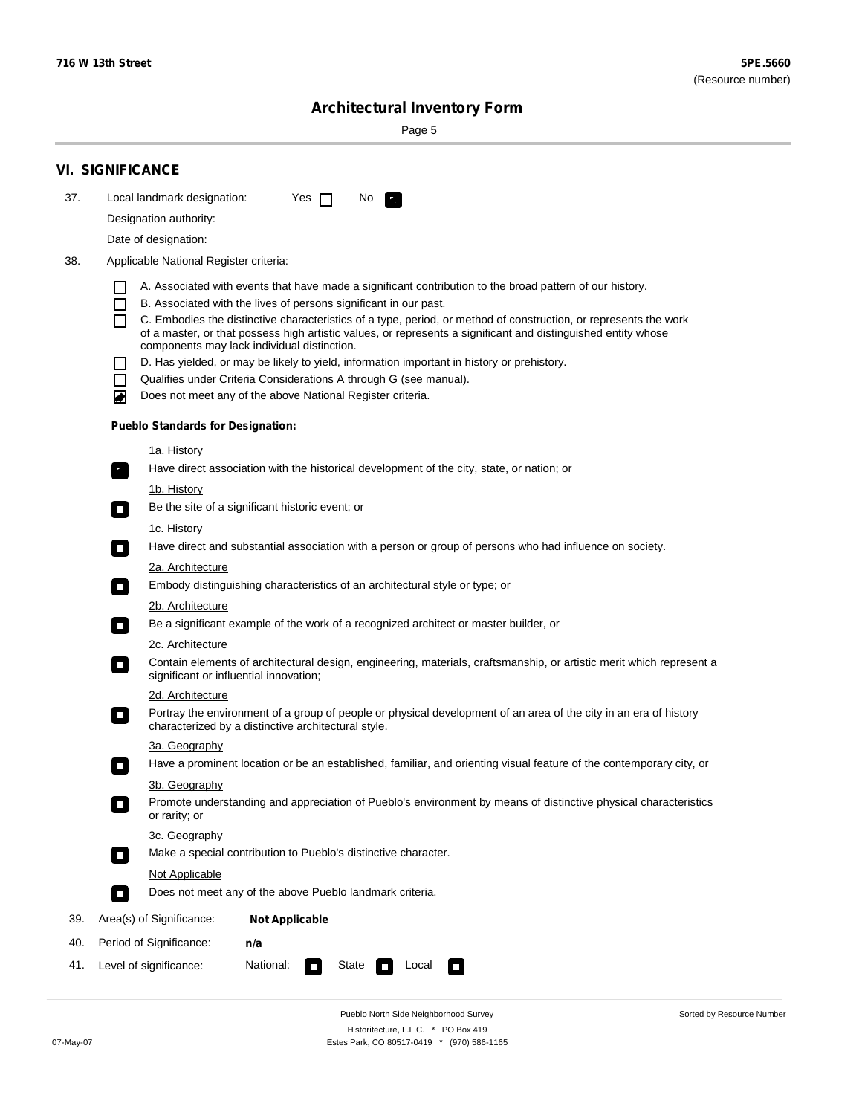Sorted by Resource Number

# **Architectural Inventory Form**

Page 5

|     | <b>VI. SIGNIFICANCE</b>                                                                                                                                                                        |
|-----|------------------------------------------------------------------------------------------------------------------------------------------------------------------------------------------------|
| 37. | Local landmark designation:<br>Yes $\Box$<br>No.<br>HE 2                                                                                                                                       |
|     | Designation authority:                                                                                                                                                                         |
|     | Date of designation:                                                                                                                                                                           |
| 38. | Applicable National Register criteria:                                                                                                                                                         |
|     |                                                                                                                                                                                                |
|     | A. Associated with events that have made a significant contribution to the broad pattern of our history.<br>B. Associated with the lives of persons significant in our past.<br>$\blacksquare$ |
|     | C. Embodies the distinctive characteristics of a type, period, or method of construction, or represents the work<br>П                                                                          |
|     | of a master, or that possess high artistic values, or represents a significant and distinguished entity whose<br>components may lack individual distinction.                                   |
|     | D. Has yielded, or may be likely to yield, information important in history or prehistory.                                                                                                     |
|     | Qualifies under Criteria Considerations A through G (see manual).<br>$\sim$                                                                                                                    |
|     | Does not meet any of the above National Register criteria.<br>₩                                                                                                                                |
|     | <b>Pueblo Standards for Designation:</b>                                                                                                                                                       |
|     | 1a. History                                                                                                                                                                                    |
|     | Have direct association with the historical development of the city, state, or nation; or<br>$\mathbf{r}_\perp$                                                                                |
|     | 1b. History                                                                                                                                                                                    |
|     | Be the site of a significant historic event; or<br>$\blacksquare$                                                                                                                              |
|     | 1c. History                                                                                                                                                                                    |
|     | Have direct and substantial association with a person or group of persons who had influence on society.<br>$\overline{\phantom{a}}$                                                            |
|     | 2a. Architecture                                                                                                                                                                               |
|     | Embody distinguishing characteristics of an architectural style or type; or<br>$\mathcal{L}_{\mathcal{A}}$                                                                                     |
|     | <u>2b. Architecture</u>                                                                                                                                                                        |
|     | Be a significant example of the work of a recognized architect or master builder, or<br>$\Box$                                                                                                 |
|     | 2c. Architecture                                                                                                                                                                               |
|     | Contain elements of architectural design, engineering, materials, craftsmanship, or artistic merit which represent a<br>$\Box$<br>significant or influential innovation;                       |
|     | 2d. Architecture                                                                                                                                                                               |
|     | Portray the environment of a group of people or physical development of an area of the city in an era of history<br>$\Box$<br>characterized by a distinctive architectural style.              |
|     | 3a. Geography                                                                                                                                                                                  |
|     | Have a prominent location or be an established, familiar, and orienting visual feature of the contemporary city, or                                                                            |
|     | 3b. Geography                                                                                                                                                                                  |
|     | Promote understanding and appreciation of Pueblo's environment by means of distinctive physical characteristics<br>or rarity; or                                                               |
|     | 3c. Geography                                                                                                                                                                                  |
|     | Make a special contribution to Pueblo's distinctive character.<br>$\Box$                                                                                                                       |
|     | <b>Not Applicable</b>                                                                                                                                                                          |
|     | Does not meet any of the above Pueblo landmark criteria.<br>$\overline{\phantom{a}}$                                                                                                           |
| 39. | Area(s) of Significance:<br><b>Not Applicable</b>                                                                                                                                              |
| 40. | Period of Significance:<br>n/a                                                                                                                                                                 |
| 41. | National:<br>Level of significance:<br>State<br>Local<br>$\sim$<br>□                                                                                                                           |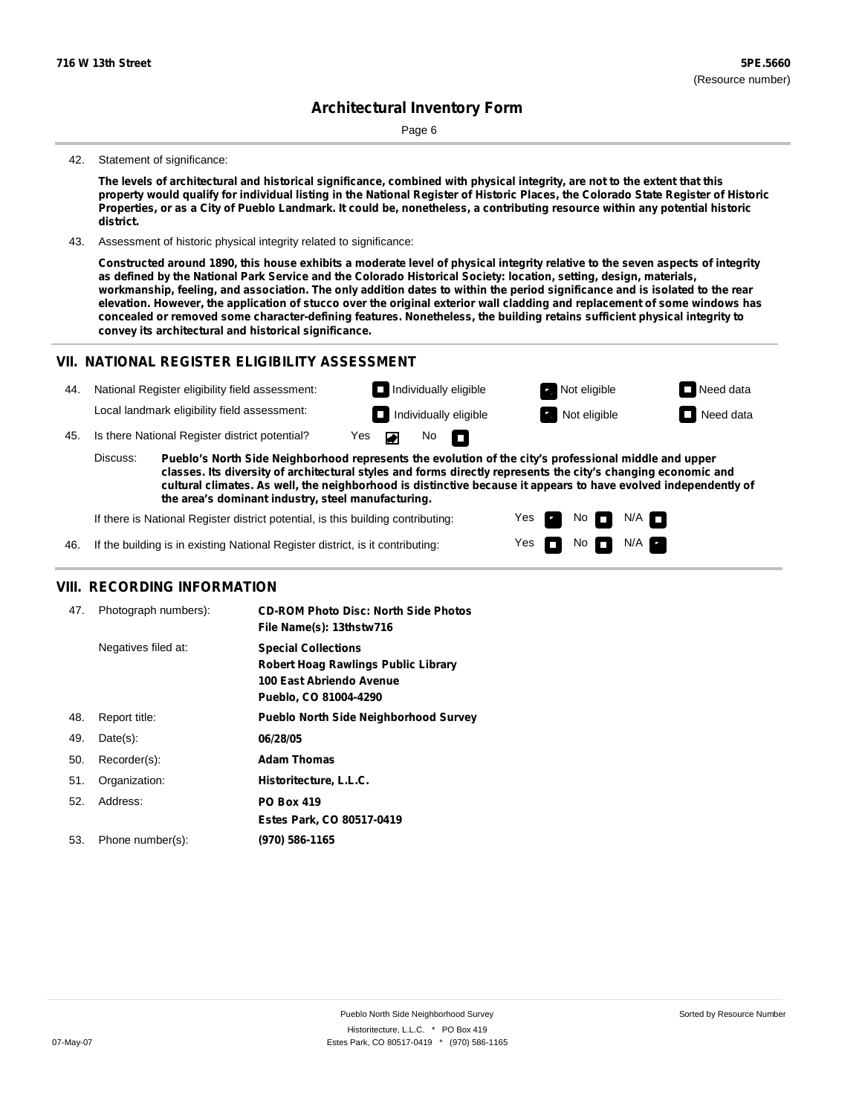Page 6

#### 42. Statement of significance:

The levels of architectural and historical significance, combined with physical integrity, are not to the extent that this property would qualify for individual listing in the National Register of Historic Places, the Colorado State Register of Historic Properties, or as a City of Pueblo Landmark. It could be, nonetheless, a contributing resource within any potential historic **district.**

43. Assessment of historic physical integrity related to significance:

Constructed around 1890, this house exhibits a moderate level of physical integrity relative to the seven aspects of integrity as defined by the National Park Service and the Colorado Historical Society: location, setting, design, materials, workmanship, feeling, and association. The only addition dates to within the period significance and is isolated to the rear elevation. However, the application of stucco over the original exterior wall cladding and replacement of some windows has **concealed or removed some character-defining features. Nonetheless, the building retains sufficient physical integrity to convey its architectural and historical significance.**

#### **VII. NATIONAL REGISTER ELIGIBILITY ASSESSMENT**

| 44                                                                                                                                                                                                                                 | National Register eligibility field assessment: |                                                |     | $\Box$ Individually eligible |                   |                              | Not eligible | $\Box$ Need data |
|------------------------------------------------------------------------------------------------------------------------------------------------------------------------------------------------------------------------------------|-------------------------------------------------|------------------------------------------------|-----|------------------------------|-------------------|------------------------------|--------------|------------------|
|                                                                                                                                                                                                                                    |                                                 | Local landmark eligibility field assessment:   |     |                              |                   | $\Box$ Individually eligible | Not eligible | $\Box$ Need data |
| 45.                                                                                                                                                                                                                                |                                                 | Is there National Register district potential? | Yes |                              | No $\blacksquare$ |                              |              |                  |
| Discuss:<br>Pueblo's North Side Neighborhood represents the evolution of the city's professional middle and upper<br>classes. Its diversity of architectural styles and forms directly represents the city's changing economic and |                                                 |                                                |     |                              |                   |                              |              |                  |

**cultural climates. As well, the neighborhood is distinctive because it appears to have evolved independently of the area's dominant industry, steel manufacturing.**

> Yes Yes

No

No  $\blacksquare$  N/A  $\blacksquare$ 

 $N/A$   $\Box$ 

If there is National Register district potential, is this building contributing:

46. If the building is in existing National Register district, is it contributing:

#### **VIII. RECORDING INFORMATION**

| 47. | Photograph numbers): | <b>CD-ROM Photo Disc: North Side Photos</b><br>File Name(s): 13thstw716                                                       |
|-----|----------------------|-------------------------------------------------------------------------------------------------------------------------------|
|     | Negatives filed at:  | <b>Special Collections</b><br><b>Robert Hoag Rawlings Public Library</b><br>100 East Abriendo Avenue<br>Pueblo, CO 81004-4290 |
| 48. | Report title:        | <b>Pueblo North Side Neighborhood Survey</b>                                                                                  |
| 49. | $Date(s)$ :          | 06/28/05                                                                                                                      |
| 50. | Recorder(s):         | <b>Adam Thomas</b>                                                                                                            |
| 51. | Organization:        | Historitecture, L.L.C.                                                                                                        |
| 52. | Address:             | <b>PO Box 419</b>                                                                                                             |
|     |                      | Estes Park, CO 80517-0419                                                                                                     |
| 53. | Phone number(s):     | (970) 586-1165                                                                                                                |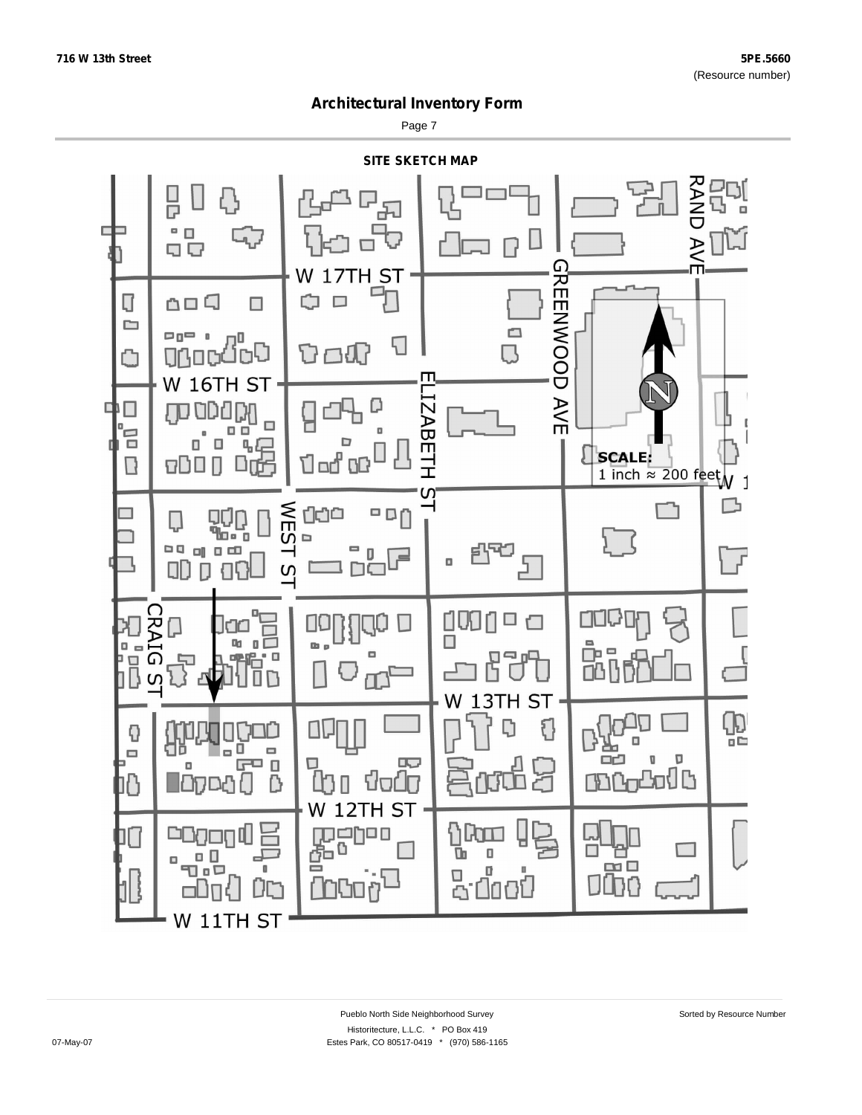Page 7